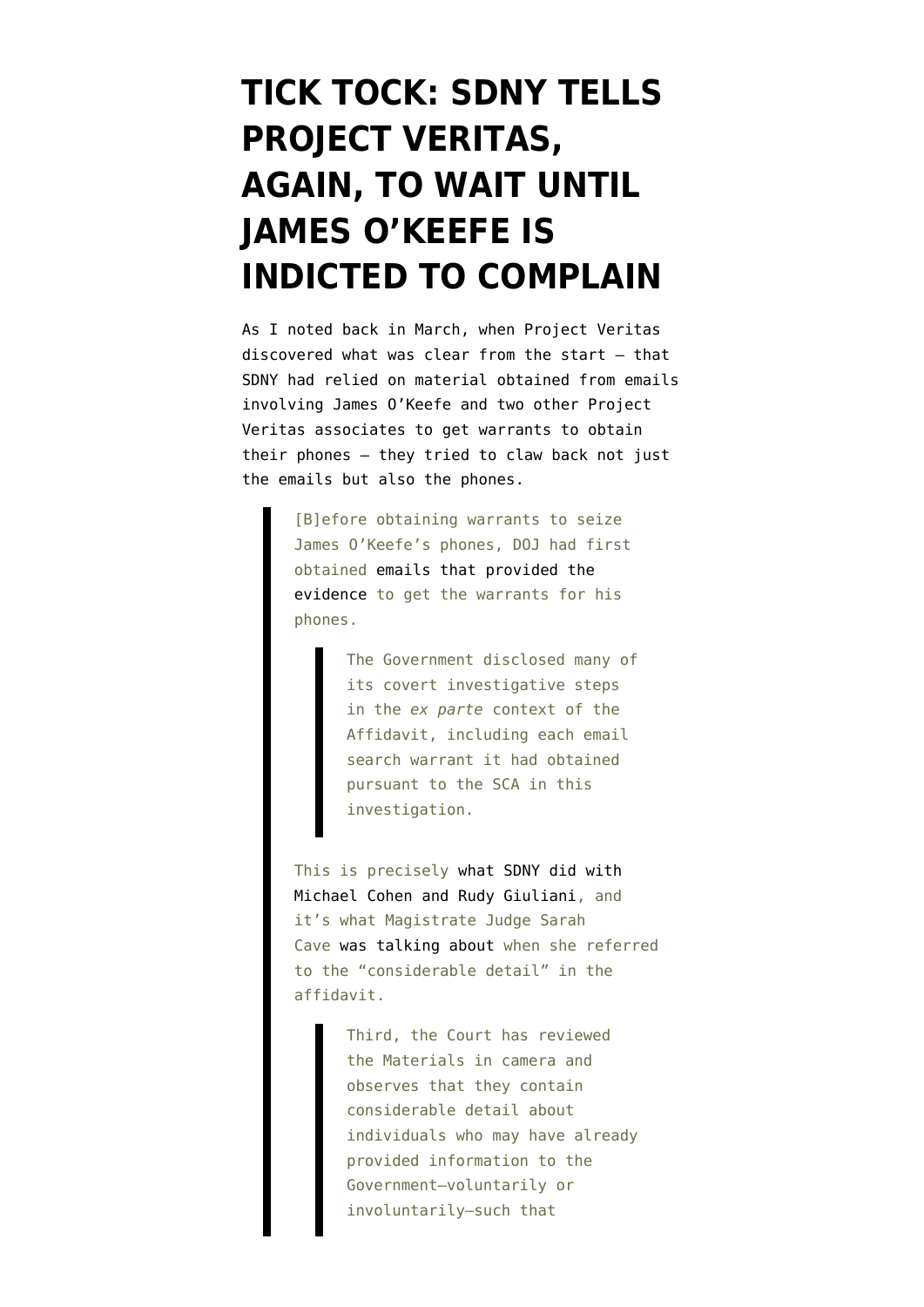# **[TICK TOCK: SDNY TELLS](https://www.emptywheel.net/2022/05/07/tick-tock-sdny-tells-project-veritas-again-to-wait-until-james-okeefe-is-indicted-to-complain/) [PROJECT VERITAS,](https://www.emptywheel.net/2022/05/07/tick-tock-sdny-tells-project-veritas-again-to-wait-until-james-okeefe-is-indicted-to-complain/) [AGAIN, TO WAIT UNTIL](https://www.emptywheel.net/2022/05/07/tick-tock-sdny-tells-project-veritas-again-to-wait-until-james-okeefe-is-indicted-to-complain/) [JAMES O'KEEFE IS](https://www.emptywheel.net/2022/05/07/tick-tock-sdny-tells-project-veritas-again-to-wait-until-james-okeefe-is-indicted-to-complain/) [INDICTED TO COMPLAIN](https://www.emptywheel.net/2022/05/07/tick-tock-sdny-tells-project-veritas-again-to-wait-until-james-okeefe-is-indicted-to-complain/)**

As I [noted back in March,](https://www.emptywheel.net/2022/03/24/jeffrey-rosen-targeted-project-veritas-officer-manager-long-before-merrick-garland-targeted-james-okeefe/) when Project Veritas discovered what was clear from the start — that SDNY had relied on material obtained from emails involving James O'Keefe and two other Project Veritas associates to get warrants to obtain their phones — they tried to claw back not just the emails but also the phones.

> [B]efore obtaining warrants to seize James O'Keefe's phones, DOJ had first obtained [emails that provided the](https://storage.courtlistener.com/recap/gov.uscourts.nysd.569823/gov.uscourts.nysd.569823.65.0.pdf) [evidence](https://storage.courtlistener.com/recap/gov.uscourts.nysd.569823/gov.uscourts.nysd.569823.65.0.pdf) to get the warrants for his phones.

> > The Government disclosed many of its covert investigative steps in the *ex parte* context of the Affidavit, including each email search warrant it had obtained pursuant to the SCA in this investigation.

This is precisely [what SDNY did with](https://www.emptywheel.net/2021/12/05/rudys-phones-defy-guarantees-wed-know-of-an-investigation-into-trump/) [Michael Cohen and Rudy Giuliani,](https://www.emptywheel.net/2021/12/05/rudys-phones-defy-guarantees-wed-know-of-an-investigation-into-trump/) and it's what Magistrate Judge Sarah Cave [was talking about](https://storage.courtlistener.com/recap/gov.uscourts.nysd.569823/gov.uscourts.nysd.569823.47.0.pdf) when she referred to the "considerable detail" in the affidavit.

> Third, the Court has reviewed the Materials in camera and observes that they contain considerable detail about individuals who may have already provided information to the Government—voluntarily or involuntarily—such that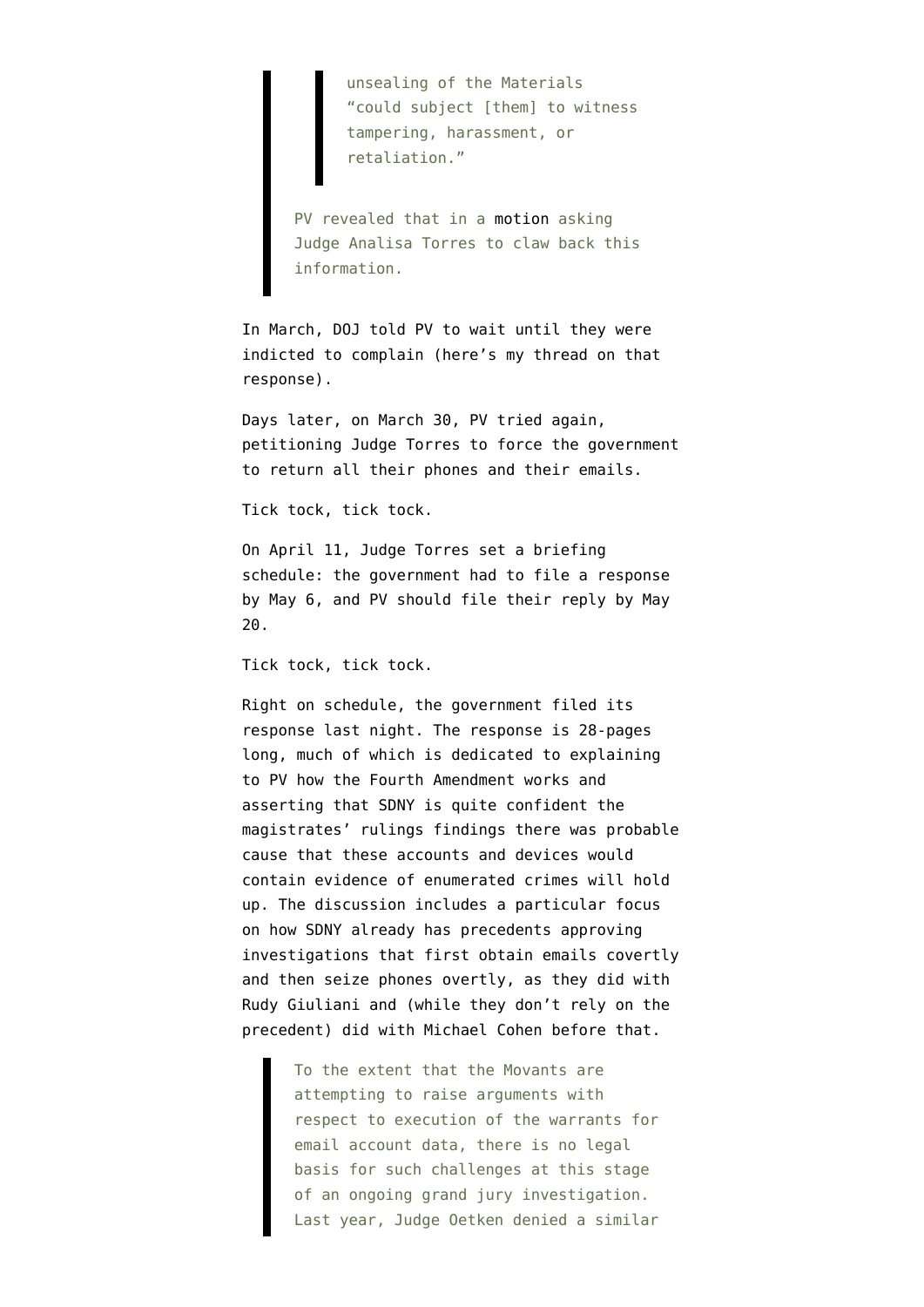unsealing of the Materials "could subject [them] to witness tampering, harassment, or retaliation."

PV revealed that in a [motion](https://storage.courtlistener.com/recap/gov.uscourts.nysd.569823/gov.uscourts.nysd.569823.64.0.pdf) asking Judge Analisa Torres to claw back this information.

In March, DOJ [told PV to wait](https://storage.courtlistener.com/recap/gov.uscourts.nysd.569823/gov.uscourts.nysd.569823.65.0.pdf) until they were indicted to complain (here's [my thread on that](https://twitter.com/emptywheel/status/1506910790288293892) [response\)](https://twitter.com/emptywheel/status/1506910790288293892).

Days later, on March 30, [PV tried again,](https://storage.courtlistener.com/recap/gov.uscourts.nysd.569823/gov.uscourts.nysd.569823.70.0.pdf) petitioning Judge Torres to force the government to return all their phones and their emails.

#### Tick tock, tick tock.

On April 11, Judge Torres [set a briefing](https://storage.courtlistener.com/recap/gov.uscourts.nysd.569823/gov.uscourts.nysd.569823.71.0.pdf) [schedule:](https://storage.courtlistener.com/recap/gov.uscourts.nysd.569823/gov.uscourts.nysd.569823.71.0.pdf) the government had to file a response by May 6, and PV should file their reply by May 20.

Tick tock, tick tock.

Right on schedule, the government [filed its](https://storage.courtlistener.com/recap/gov.uscourts.nysd.569823/gov.uscourts.nysd.569823.74.0.pdf) [response](https://storage.courtlistener.com/recap/gov.uscourts.nysd.569823/gov.uscourts.nysd.569823.74.0.pdf) last night. The response is 28-pages long, much of which is dedicated to explaining to PV how the Fourth Amendment works and asserting that SDNY is quite confident the magistrates' rulings findings there was probable cause that these accounts and devices would contain evidence of enumerated crimes will hold up. The discussion includes a particular focus on how SDNY already has precedents approving investigations that first obtain emails covertly and then seize phones overtly, as they did with Rudy Giuliani and (while they don't rely on the precedent) did with Michael Cohen before that.

> To the extent that the Movants are attempting to raise arguments with respect to execution of the warrants for email account data, there is no legal basis for such challenges at this stage of an ongoing grand jury investigation. Last year, Judge Oetken denied a similar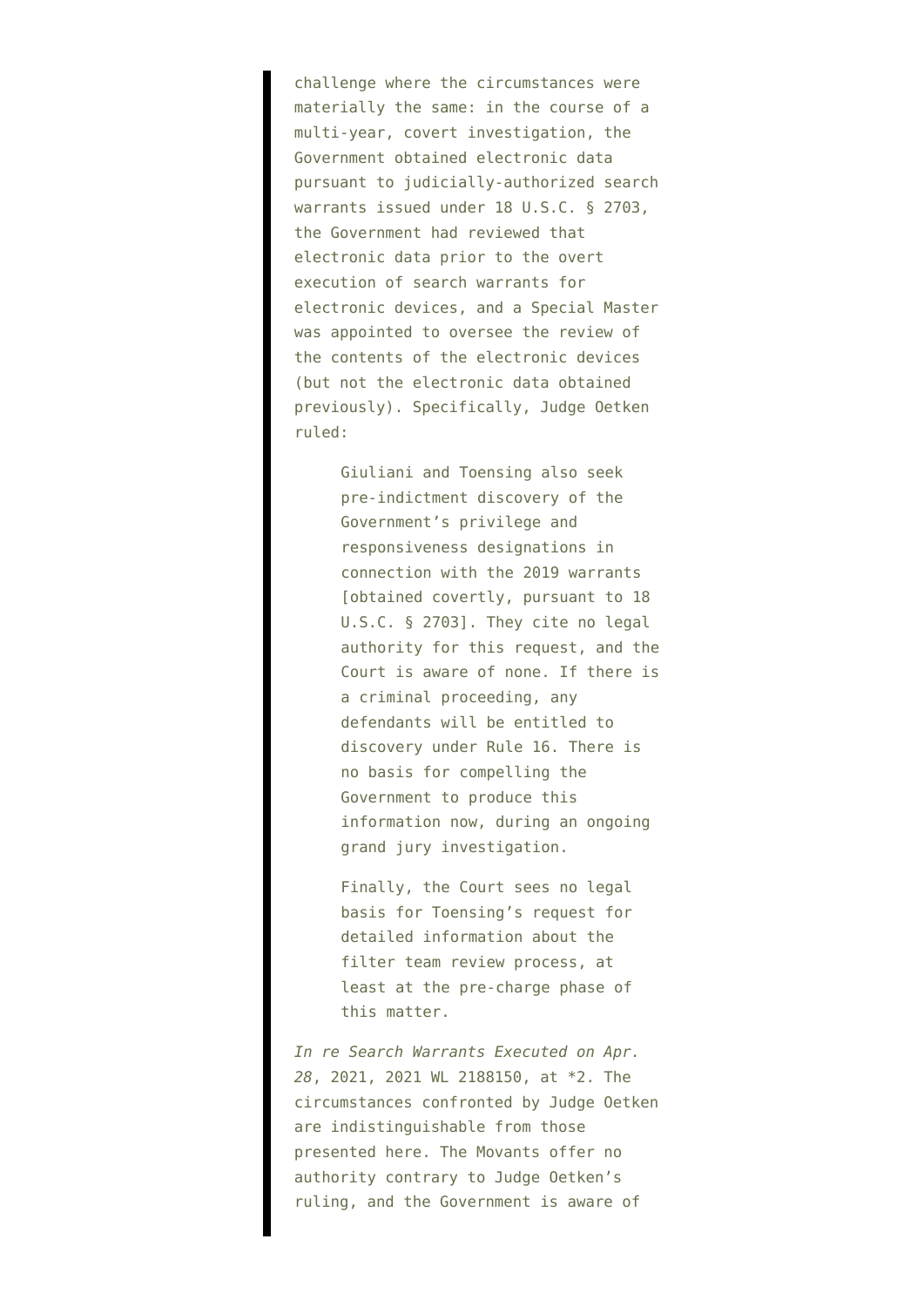challenge where the circumstances were materially the same: in the course of a multi-year, covert investigation, the Government obtained electronic data pursuant to judicially-authorized search warrants issued under 18 U.S.C. § 2703, the Government had reviewed that electronic data prior to the overt execution of search warrants for electronic devices, and a Special Master was appointed to oversee the review of the contents of the electronic devices (but not the electronic data obtained previously). Specifically, Judge Oetken ruled:

> Giuliani and Toensing also seek pre-indictment discovery of the Government's privilege and responsiveness designations in connection with the 2019 warrants [obtained covertly, pursuant to 18 U.S.C. § 27031. They cite no legal authority for this request, and the Court is aware of none. If there is a criminal proceeding, any defendants will be entitled to discovery under Rule 16. There is no basis for compelling the Government to produce this information now, during an ongoing grand jury investigation.

Finally, the Court sees no legal basis for Toensing's request for detailed information about the filter team review process, at least at the pre-charge phase of this matter.

*In re Search Warrants Executed on Apr. 28*, 2021, 2021 WL 2188150, at \*2. The circumstances confronted by Judge Oetken are indistinguishable from those presented here. The Movants offer no authority contrary to Judge Oetken's ruling, and the Government is aware of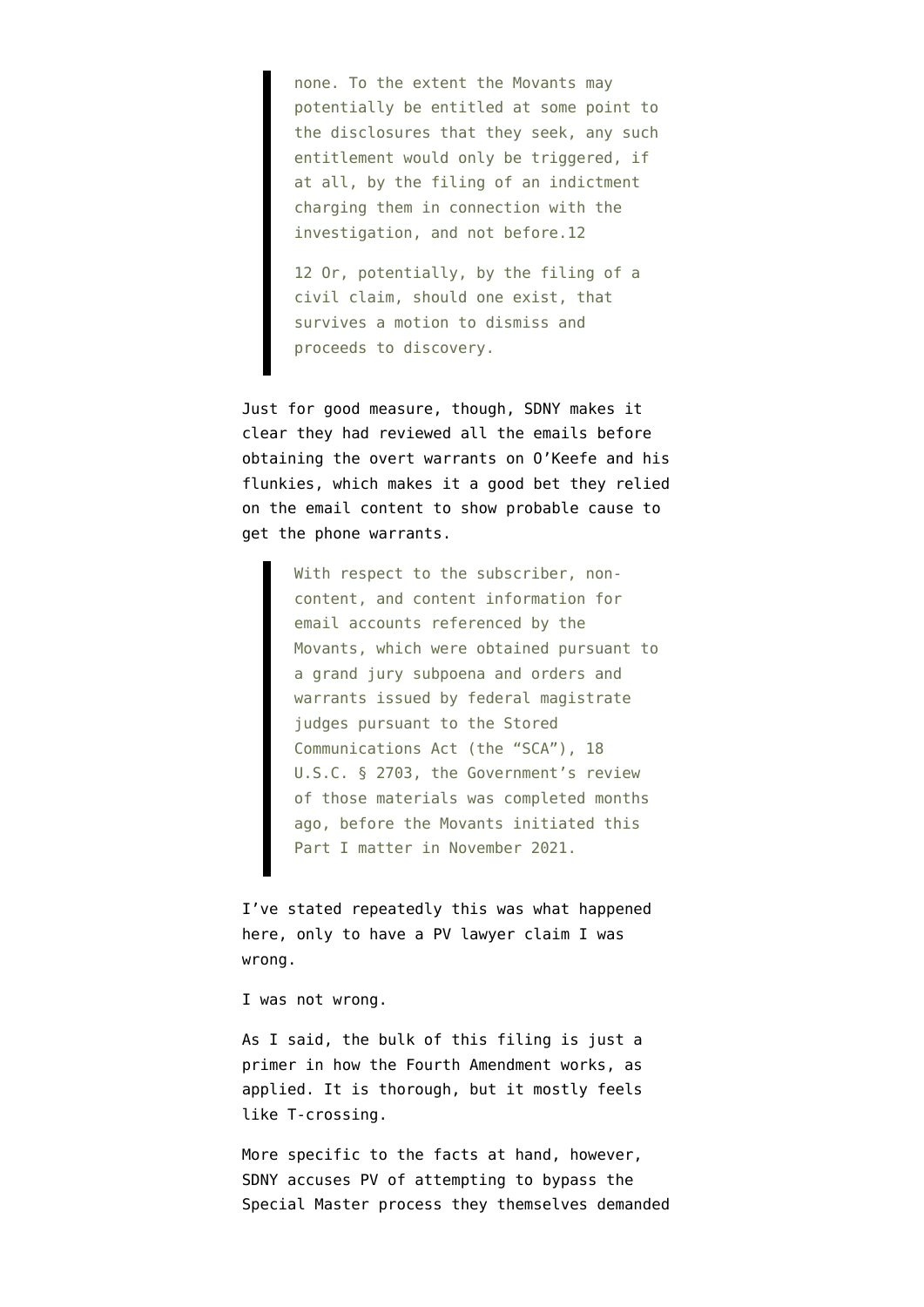none. To the extent the Movants may potentially be entitled at some point to the disclosures that they seek, any such entitlement would only be triggered, if at all, by the filing of an indictment charging them in connection with the investigation, and not before.12

12 Or, potentially, by the filing of a civil claim, should one exist, that survives a motion to dismiss and proceeds to discovery.

Just for good measure, though, SDNY makes it clear they had reviewed all the emails before obtaining the overt warrants on O'Keefe and his flunkies, which makes it a good bet they relied on the email content to show probable cause to get the phone warrants.

> With respect to the subscriber, noncontent, and content information for email accounts referenced by the Movants, which were obtained pursuant to a grand jury subpoena and orders and warrants issued by federal magistrate judges pursuant to the Stored Communications Act (the "SCA"), 18 U.S.C. § 2703, the Government's review of those materials was completed months ago, before the Movants initiated this Part I matter in November 2021.

I've [stated repeatedly](https://twitter.com/emptywheel/status/1506911556646445062) this was what happened here, only to have a PV lawyer claim I was wrong.

I was not wrong.

As I said, the bulk of this filing is just a primer in how the Fourth Amendment works, as applied. It is thorough, but it mostly feels like T-crossing.

More specific to the facts at hand, however, SDNY accuses PV of attempting to bypass the Special Master process they themselves demanded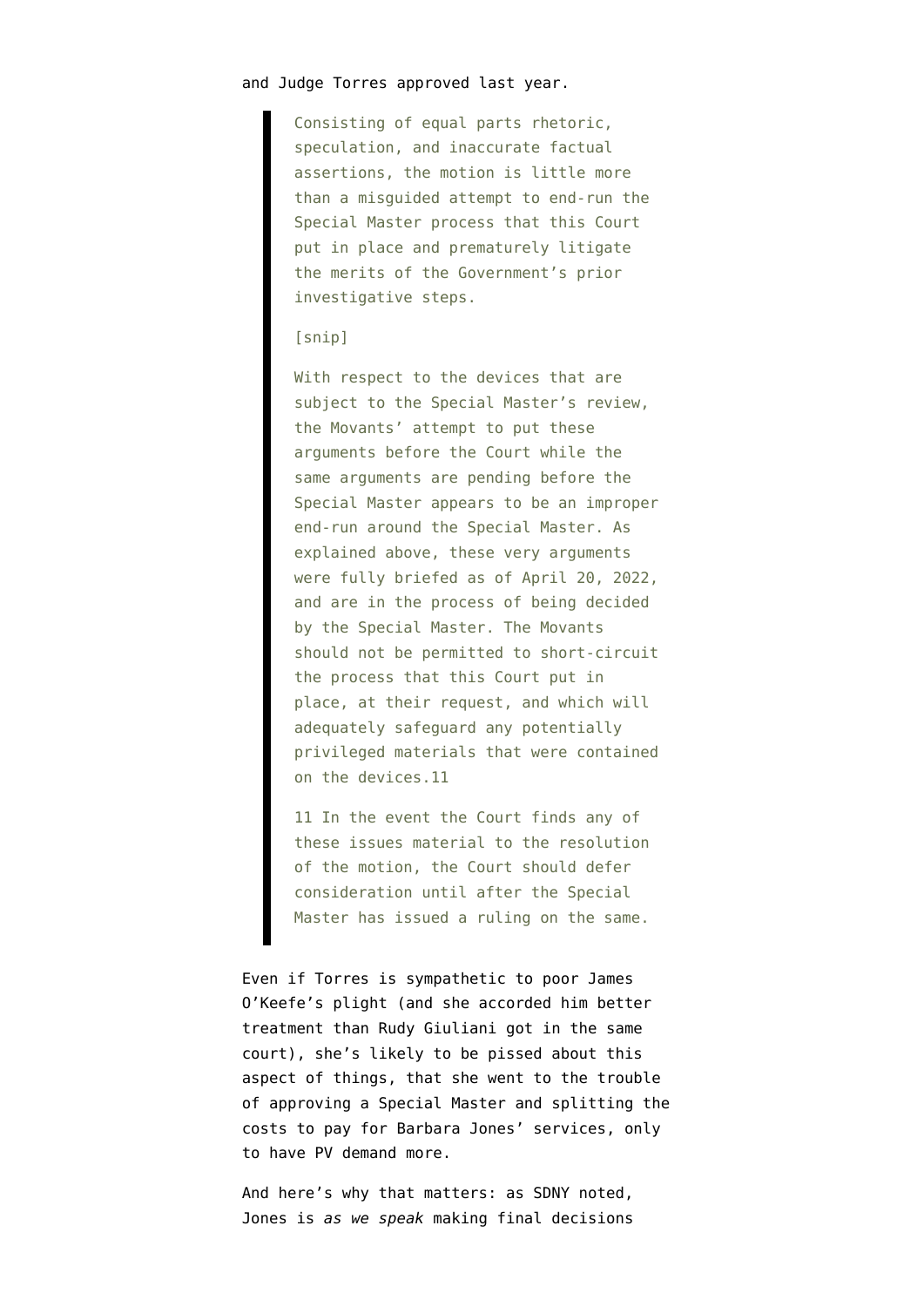#### and Judge Torres approved last year.

Consisting of equal parts rhetoric, speculation, and inaccurate factual assertions, the motion is little more than a misguided attempt to end-run the Special Master process that this Court put in place and prematurely litigate the merits of the Government's prior investigative steps.

### [snip]

With respect to the devices that are subject to the Special Master's review, the Movants' attempt to put these arguments before the Court while the same arguments are pending before the Special Master appears to be an improper end-run around the Special Master. As explained above, these very arguments were fully briefed as of April 20, 2022, and are in the process of being decided by the Special Master. The Movants should not be permitted to short-circuit the process that this Court put in place, at their request, and which will adequately safeguard any potentially privileged materials that were contained on the devices.11

11 In the event the Court finds any of these issues material to the resolution of the motion, the Court should defer consideration until after the Special Master has issued a ruling on the same.

Even if Torres is sympathetic to poor James O'Keefe's plight (and she accorded him better treatment than Rudy Giuliani got in the same court), she's likely to be pissed about this aspect of things, that she went to the trouble of approving a Special Master and splitting the costs to pay for Barbara Jones' services, only to have PV demand more.

And here's why that matters: as SDNY noted, Jones is *as we speak* making final decisions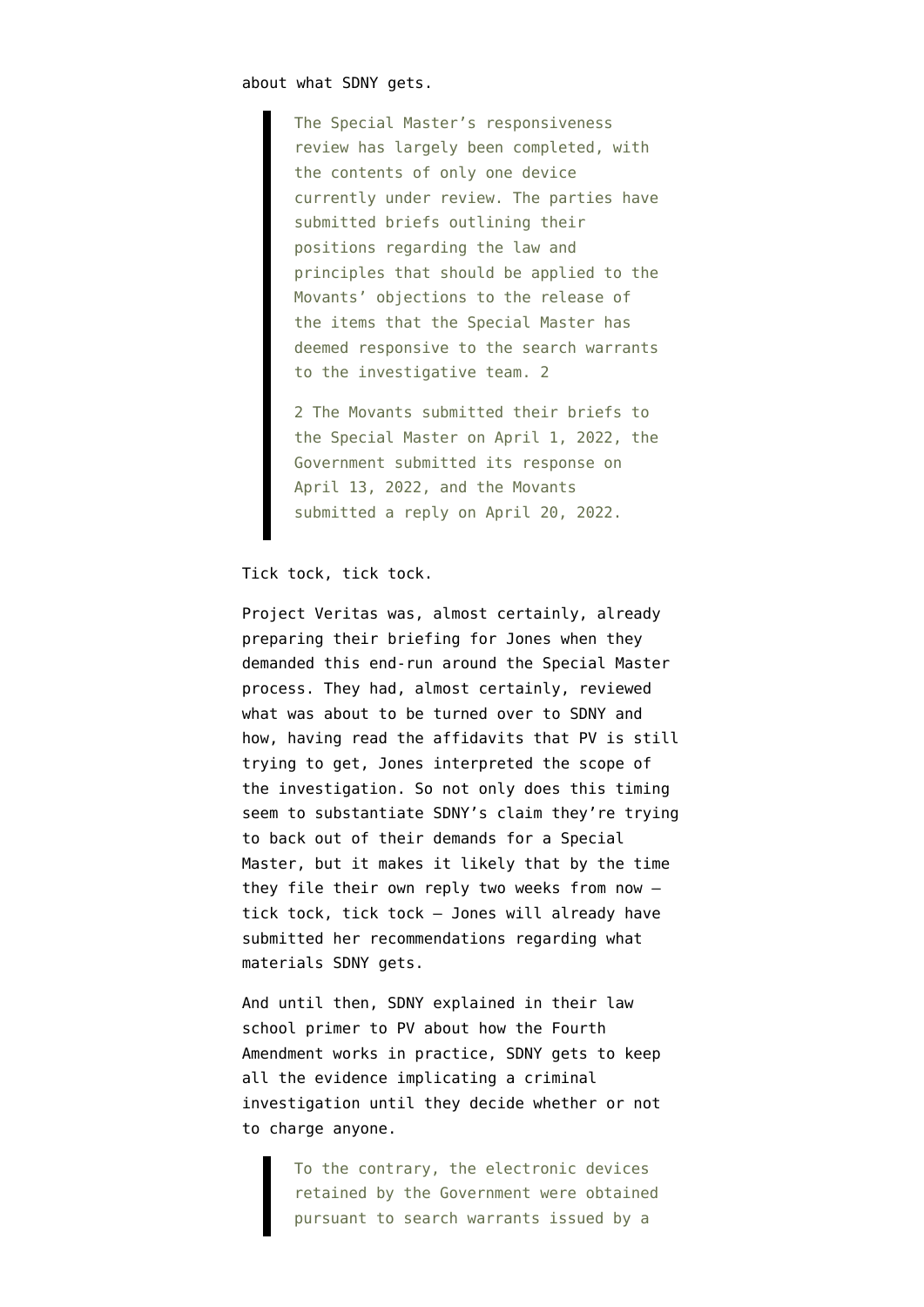about what SDNY gets.

The Special Master's responsiveness review has largely been completed, with the contents of only one device currently under review. The parties have submitted briefs outlining their positions regarding the law and principles that should be applied to the Movants' objections to the release of the items that the Special Master has deemed responsive to the search warrants to the investigative team. 2

2 The Movants submitted their briefs to the Special Master on April 1, 2022, the Government submitted its response on April 13, 2022, and the Movants submitted a reply on April 20, 2022.

## Tick tock, tick tock.

Project Veritas was, almost certainly, already preparing their briefing for Jones when they demanded this end-run around the Special Master process. They had, almost certainly, reviewed what was about to be turned over to SDNY and how, having read the affidavits that PV is still trying to get, Jones interpreted the scope of the investigation. So not only does this timing seem to substantiate SDNY's claim they're trying to back out of their demands for a Special Master, but it makes it likely that by the time they file their own reply two weeks from now tick tock, tick tock — Jones will already have submitted her recommendations regarding what materials SDNY gets.

And until then, SDNY explained in their law school primer to PV about how the Fourth Amendment works in practice, SDNY gets to keep all the evidence implicating a criminal investigation until they decide whether or not to charge anyone.

> To the contrary, the electronic devices retained by the Government were obtained pursuant to search warrants issued by a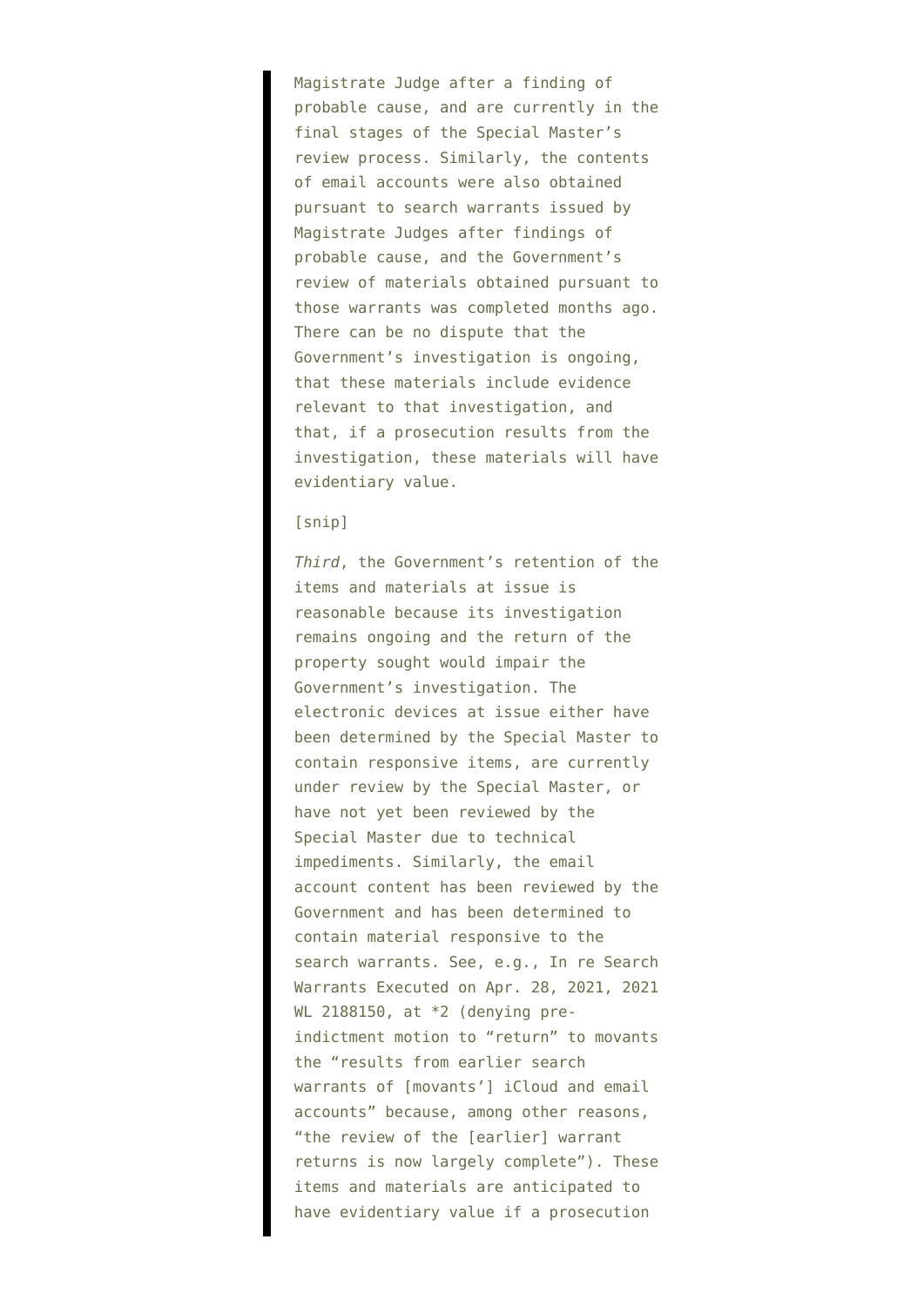Magistrate Judge after a finding of probable cause, and are currently in the final stages of the Special Master's review process. Similarly, the contents of email accounts were also obtained pursuant to search warrants issued by Magistrate Judges after findings of probable cause, and the Government's review of materials obtained pursuant to those warrants was completed months ago. There can be no dispute that the Government's investigation is ongoing, that these materials include evidence relevant to that investigation, and that, if a prosecution results from the investigation, these materials will have evidentiary value.

## [snip]

*Third*, the Government's retention of the items and materials at issue is reasonable because its investigation remains ongoing and the return of the property sought would impair the Government's investigation. The electronic devices at issue either have been determined by the Special Master to contain responsive items, are currently under review by the Special Master, or have not yet been reviewed by the Special Master due to technical impediments. Similarly, the email account content has been reviewed by the Government and has been determined to contain material responsive to the search warrants. See, e.g., In re Search Warrants Executed on Apr. 28, 2021, 2021 WL 2188150, at \*2 (denying preindictment motion to "return" to movants the "results from earlier search warrants of [movants'] iCloud and email accounts" because, among other reasons, "the review of the [earlier] warrant returns is now largely complete"). These items and materials are anticipated to have evidentiary value if a prosecution